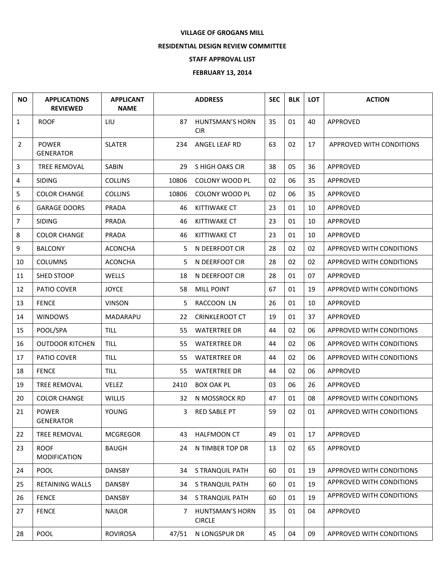## **VILLAGE OF GROGANS MILL**

## **RESIDENTIAL DESIGN REVIEW COMMITTEE**

## **STAFF APPROVAL LIST**

## **FEBRUARY 13, 2014**

| <b>NO</b>      | <b>APPLICATIONS</b><br><b>REVIEWED</b> | <b>APPLICANT</b><br><b>NAME</b> |       | <b>ADDRESS</b>                          | <b>SEC</b> | <b>BLK</b> | LOT | <b>ACTION</b>            |
|----------------|----------------------------------------|---------------------------------|-------|-----------------------------------------|------------|------------|-----|--------------------------|
| $\mathbf{1}$   | <b>ROOF</b>                            | LIU                             | 87    | <b>HUNTSMAN'S HORN</b><br><b>CIR</b>    | 35         | 01         | 40  | APPROVED                 |
| $\overline{2}$ | <b>POWER</b><br><b>GENERATOR</b>       | <b>SLATER</b>                   | 234   | ANGEL LEAF RD                           | 63         | 02         | 17  | APPROVED WITH CONDITIONS |
| 3              | <b>TREE REMOVAL</b>                    | <b>SABIN</b>                    | 29    | S HIGH OAKS CIR                         | 38         | 05         | 36  | APPROVED                 |
| 4              | SIDING                                 | <b>COLLINS</b>                  | 10806 | COLONY WOOD PL                          | 02         | 06         | 35  | APPROVED                 |
| 5              | <b>COLOR CHANGE</b>                    | <b>COLLINS</b>                  | 10806 | COLONY WOOD PL                          | 02         | 06         | 35  | APPROVED                 |
| 6              | <b>GARAGE DOORS</b>                    | <b>PRADA</b>                    | 46    | <b>KITTIWAKE CT</b>                     | 23         | 01         | 10  | APPROVED                 |
| $\overline{7}$ | <b>SIDING</b>                          | PRADA                           | 46    | <b>KITTIWAKE CT</b>                     | 23         | 01         | 10  | APPROVED                 |
| 8              | <b>COLOR CHANGE</b>                    | PRADA                           | 46    | <b>KITTIWAKE CT</b>                     | 23         | 01         | 10  | APPROVED                 |
| 9              | <b>BALCONY</b>                         | <b>ACONCHA</b>                  | 5     | N DEERFOOT CIR                          | 28         | 02         | 02  | APPROVED WITH CONDITIONS |
| 10             | <b>COLUMNS</b>                         | <b>ACONCHA</b>                  | 5.    | N DEERFOOT CIR                          | 28         | 02         | 02  | APPROVED WITH CONDITIONS |
| 11             | SHED STOOP                             | WELLS                           | 18    | N DEERFOOT CIR                          | 28         | 01         | 07  | APPROVED                 |
| 12             | PATIO COVER                            | <b>JOYCE</b>                    | 58    | <b>MILL POINT</b>                       | 67         | 01         | 19  | APPROVED WITH CONDITIONS |
| 13             | <b>FENCE</b>                           | <b>VINSON</b>                   | 5     | RACCOON LN                              | 26         | 01         | 10  | APPROVED                 |
| 14             | <b>WINDOWS</b>                         | MADARAPU                        | 22    | <b>CRINKLEROOT CT</b>                   | 19         | 01         | 37  | APPROVED                 |
| 15             | POOL/SPA                               | <b>TILL</b>                     | 55    | <b>WATERTREE DR</b>                     | 44         | 02         | 06  | APPROVED WITH CONDITIONS |
| 16             | <b>OUTDOOR KITCHEN</b>                 | <b>TILL</b>                     | 55    | <b>WATERTREE DR</b>                     | 44         | 02         | 06  | APPROVED WITH CONDITIONS |
| 17             | PATIO COVER                            | <b>TILL</b>                     | 55    | <b>WATERTREE DR</b>                     | 44         | 02         | 06  | APPROVED WITH CONDITIONS |
| 18             | <b>FENCE</b>                           | <b>TILL</b>                     | 55    | <b>WATERTREE DR</b>                     | 44         | 02         | 06  | APPROVED                 |
| 19             | <b>TREE REMOVAL</b>                    | <b>VELEZ</b>                    | 2410  | <b>BOX OAK PL</b>                       | 03         | 06         | 26  | APPROVED                 |
| 20             | <b>COLOR CHANGE</b>                    | <b>WILLIS</b>                   | 32    | N MOSSROCK RD                           | 47         | 01         | 08  | APPROVED WITH CONDITIONS |
| 21             | <b>POWER</b><br><b>GENERATOR</b>       | YOUNG                           | 3     | <b>RED SABLE PT</b>                     | 59         | 02         | 01  | APPROVED WITH CONDITIONS |
| 22             | TREE REMOVAL                           | <b>MCGREGOR</b>                 | 43    | HALFMOON CT                             | 49         | 01         | 17  | APPROVED                 |
| 23             | <b>ROOF</b><br><b>MODIFICATION</b>     | <b>BAUGH</b>                    | 24    | N TIMBER TOP DR                         | 13         | 02         | 65  | APPROVED                 |
| 24             | POOL                                   | <b>DANSBY</b>                   | 34    | S TRANQUIL PATH                         | 60         | 01         | 19  | APPROVED WITH CONDITIONS |
| 25             | <b>RETAINING WALLS</b>                 | <b>DANSBY</b>                   | 34    | S TRANQUIL PATH                         | 60         | 01         | 19  | APPROVED WITH CONDITIONS |
| 26             | <b>FENCE</b>                           | <b>DANSBY</b>                   | 34    | S TRANQUIL PATH                         | 60         | 01         | 19  | APPROVED WITH CONDITIONS |
| 27             | <b>FENCE</b>                           | <b>NAILOR</b>                   | 7     | <b>HUNTSMAN'S HORN</b><br><b>CIRCLE</b> | 35         | 01         | 04  | APPROVED                 |
| 28             | POOL                                   | <b>ROVIROSA</b>                 | 47/51 | N LONGSPUR DR                           | 45         | 04         | 09  | APPROVED WITH CONDITIONS |